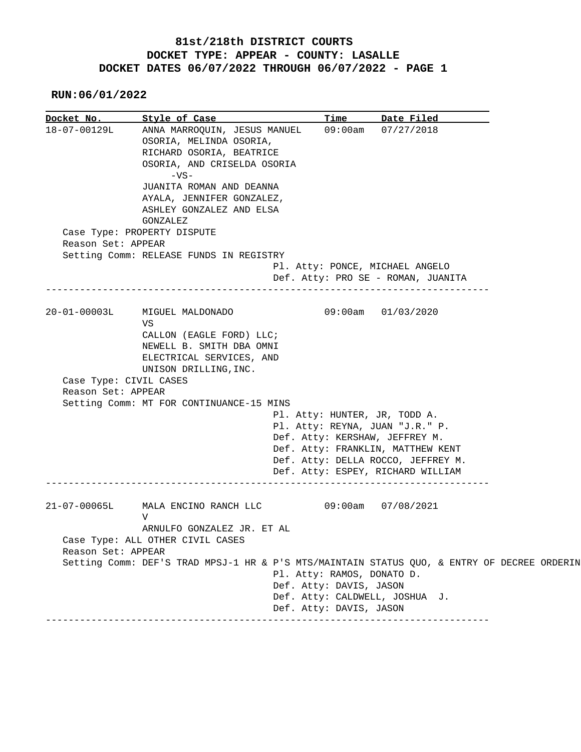## **81st/218th DISTRICT COURTS DOCKET TYPE: APPEAR - COUNTY: LASALLE DOCKET DATES 06/07/2022 THROUGH 06/07/2022 - PAGE 1**

 **RUN:06/01/2022**

| Docket No.             | Style of Case <b>Style of Lange</b>                                                         | <b>Time</b>                     | Date Filed                         |  |
|------------------------|---------------------------------------------------------------------------------------------|---------------------------------|------------------------------------|--|
| 18-07-00129L           | ANNA MARROQUIN, JESUS MANUEL 09:00am 07/27/2018                                             |                                 |                                    |  |
|                        | OSORIA, MELINDA OSORIA,                                                                     |                                 |                                    |  |
|                        | RICHARD OSORIA, BEATRICE                                                                    |                                 |                                    |  |
|                        | OSORIA, AND CRISELDA OSORIA                                                                 |                                 |                                    |  |
|                        | $-VS-$                                                                                      |                                 |                                    |  |
|                        | JUANITA ROMAN AND DEANNA                                                                    |                                 |                                    |  |
|                        | AYALA, JENNIFER GONZALEZ,                                                                   |                                 |                                    |  |
|                        | ASHLEY GONZALEZ AND ELSA<br>GONZALEZ                                                        |                                 |                                    |  |
|                        | Case Type: PROPERTY DISPUTE                                                                 |                                 |                                    |  |
| Reason Set: APPEAR     |                                                                                             |                                 |                                    |  |
|                        | Setting Comm: RELEASE FUNDS IN REGISTRY                                                     |                                 |                                    |  |
|                        |                                                                                             | Pl. Atty: PONCE, MICHAEL ANGELO |                                    |  |
|                        |                                                                                             |                                 | Def. Atty: PRO SE - ROMAN, JUANITA |  |
|                        |                                                                                             |                                 |                                    |  |
| $20 - 01 - 00003L$     | MIGUEL MALDONADO<br>VS                                                                      | $09:00$ am $01/03/2020$         |                                    |  |
|                        | CALLON (EAGLE FORD) LLC;                                                                    |                                 |                                    |  |
|                        |                                                                                             |                                 |                                    |  |
|                        |                                                                                             |                                 |                                    |  |
|                        | NEWELL B. SMITH DBA OMNI                                                                    |                                 |                                    |  |
|                        | ELECTRICAL SERVICES, AND<br>UNISON DRILLING, INC.                                           |                                 |                                    |  |
| Case Type: CIVIL CASES |                                                                                             |                                 |                                    |  |
| Reason Set: APPEAR     |                                                                                             |                                 |                                    |  |
|                        | Setting Comm: MT FOR CONTINUANCE-15 MINS                                                    |                                 |                                    |  |
|                        |                                                                                             | Pl. Atty: HUNTER, JR, TODD A.   |                                    |  |
|                        |                                                                                             | Pl. Atty: REYNA, JUAN "J.R." P. |                                    |  |
|                        |                                                                                             | Def. Atty: KERSHAW, JEFFREY M.  |                                    |  |
|                        |                                                                                             |                                 | Def. Atty: FRANKLIN, MATTHEW KENT  |  |
|                        |                                                                                             |                                 | Def. Atty: DELLA ROCCO, JEFFREY M. |  |
|                        |                                                                                             |                                 | Def. Atty: ESPEY, RICHARD WILLIAM  |  |
|                        |                                                                                             |                                 |                                    |  |
| $21 - 07 - 00065L$     | MALA ENCINO RANCH LLC 09:00am 07/08/2021<br>V                                               |                                 |                                    |  |
|                        | ARNULFO GONZALEZ JR. ET AL                                                                  |                                 |                                    |  |
|                        | Case Type: ALL OTHER CIVIL CASES                                                            |                                 |                                    |  |
| Reason Set: APPEAR     |                                                                                             |                                 |                                    |  |
|                        | Setting Comm: DEF'S TRAD MPSJ-1 HR & P'S MTS/MAINTAIN STATUS QUO, & ENTRY OF DECREE ORDERIN |                                 |                                    |  |
|                        |                                                                                             | Pl. Atty: RAMOS, DONATO D.      |                                    |  |
|                        |                                                                                             | Def. Atty: DAVIS, JASON         |                                    |  |
|                        |                                                                                             | Def. Atty: CALDWELL, JOSHUA J.  |                                    |  |